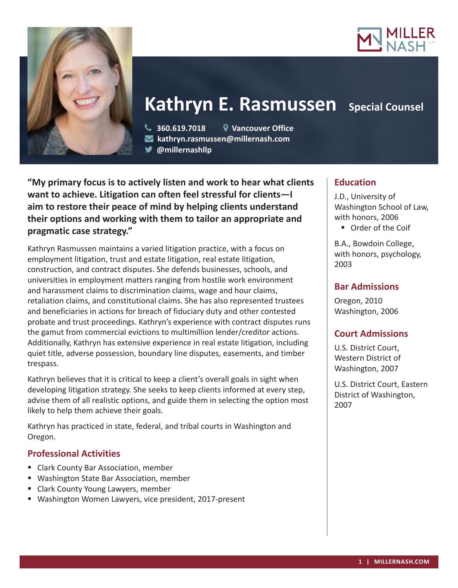



# Kathryn E. Rasmussen Special Counsel

 **360.619.7018 Vancouver Office kathryn.rasmussen@millernash.com @millernashllp** 

**"My primary focus is to actively listen and work to hear what clients want to achieve. Litigation can often feel stressful for clients—I aim to restore their peace of mind by helping clients understand their options and working with them to tailor an appropriate and pragmatic case strategy."**

Kathryn Rasmussen maintains a varied litigation practice, with a focus on employment litigation, trust and estate litigation, real estate litigation, construction, and contract disputes. She defends businesses, schools, and universities in employment matters ranging from hostile work environment and harassment claims to discrimination claims, wage and hour claims, retaliation claims, and constitutional claims. She has also represented trustees and beneficiaries in actions for breach of fiduciary duty and other contested probate and trust proceedings. Kathryn's experience with contract disputes runs the gamut from commercial evictions to multimillion lender/creditor actions. Additionally, Kathryn has extensive experience in real estate litigation, including quiet title, adverse possession, boundary line disputes, easements, and timber trespass.

Kathryn believes that it is critical to keep a client's overall goals in sight when developing litigation strategy. She seeks to keep clients informed at every step, advise them of all realistic options, and guide them in selecting the option most likely to help them achieve their goals.

Kathryn has practiced in state, federal, and tribal courts in Washington and Oregon.

# **Professional Activities**

- Clark County Bar Association, member
- Washington State Bar Association, member
- **E** Clark County Young Lawyers, member
- Washington Women Lawyers, vice president, 2017-present

# **Education**

J.D., University of Washington School of Law, with honors, 2006

**Dider of the Coif** 

B.A., Bowdoin College, with honors, psychology, 2003

# **Bar Admissions**

Oregon, 2010 Washington, 2006

### **Court Admissions**

U.S. District Court, Western District of Washington, 2007

U.S. District Court, Eastern District of Washington, 2007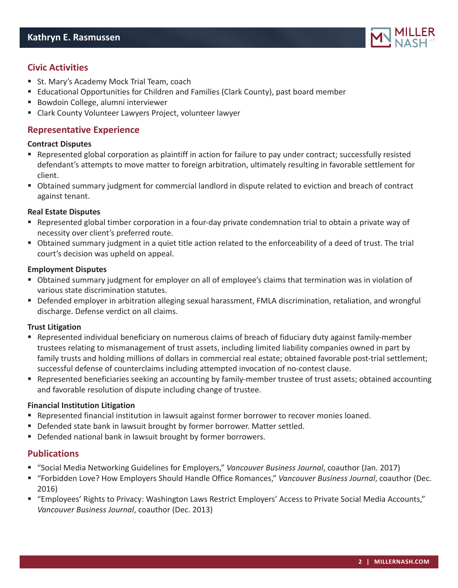

# **Civic Activities**

- St. Mary's Academy Mock Trial Team, coach
- Educational Opportunities for Children and Families (Clark County), past board member
- **Bowdoin College, alumni interviewer**
- Clark County Volunteer Lawyers Project, volunteer lawyer

# **Representative Experience**

#### **Contract Disputes**

- Represented global corporation as plaintiff in action for failure to pay under contract; successfully resisted defendant's attempts to move matter to foreign arbitration, ultimately resulting in favorable settlement for client.
- Obtained summary judgment for commercial landlord in dispute related to eviction and breach of contract against tenant.

#### **Real Estate Disputes**

- Represented global timber corporation in a four-day private condemnation trial to obtain a private way of necessity over client's preferred route.
- Obtained summary judgment in a quiet title action related to the enforceability of a deed of trust. The trial court's decision was upheld on appeal.

#### **Employment Disputes**

- Obtained summary judgment for employer on all of employee's claims that termination was in violation of various state discrimination statutes.
- Defended employer in arbitration alleging sexual harassment, FMLA discrimination, retaliation, and wrongful discharge. Defense verdict on all claims.

#### **Trust Litigation**

- Represented individual beneficiary on numerous claims of breach of fiduciary duty against family-member trustees relating to mismanagement of trust assets, including limited liability companies owned in part by family trusts and holding millions of dollars in commercial real estate; obtained favorable post-trial settlement; successful defense of counterclaims including attempted invocation of no-contest clause.
- Represented beneficiaries seeking an accounting by family-member trustee of trust assets; obtained accounting and favorable resolution of dispute including change of trustee.

#### **Financial Institution Litigation**

- Represented financial institution in lawsuit against former borrower to recover monies loaned.
- Defended state bank in lawsuit brought by former borrower. Matter settled.
- Defended national bank in lawsuit brought by former borrowers.

#### **Publications**

- "Social Media Networking Guidelines for Employers," *Vancouver Business Journal*, coauthor (Jan. 2017)
- "Forbidden Love? How Employers Should Handle Office Romances," *Vancouver Business Journal*, coauthor (Dec. 2016)
- "Employees' Rights to Privacy: Washington Laws Restrict Employers' Access to Private Social Media Accounts," *Vancouver Business Journal*, coauthor (Dec. 2013)